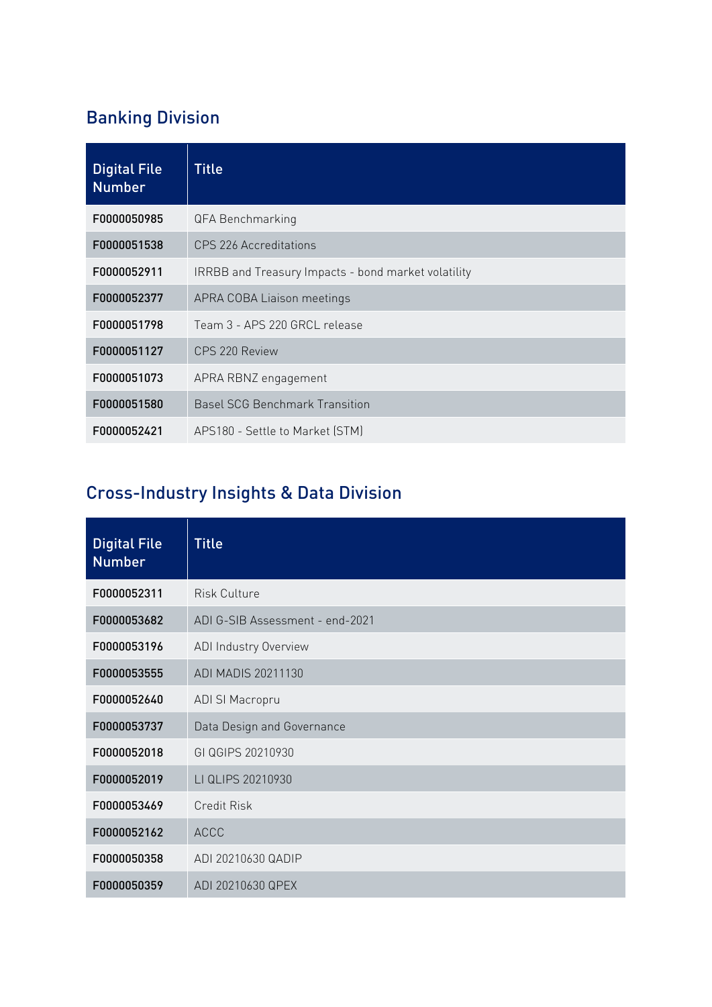# Banking Division

| <b>Digital File</b><br><b>Number</b> | <b>Title</b>                                        |
|--------------------------------------|-----------------------------------------------------|
| F0000050985                          | QFA Benchmarking                                    |
| F0000051538                          | CPS 226 Accreditations                              |
| F0000052911                          | IRRBB and Treasury Impacts - bond market volatility |
| F0000052377                          | APRA COBA Liaison meetings                          |
| F0000051798                          | Team 3 - APS 220 GRCL release                       |
| F0000051127                          | CPS 220 Review                                      |
| F0000051073                          | APRA RBNZ engagement                                |
| F0000051580                          | <b>Basel SCG Benchmark Transition</b>               |
| F0000052421                          | APS180 - Settle to Market (STM)                     |

## Cross-Industry Insights & Data Division

| <b>Digital File</b><br><b>Number</b> | <b>Title</b>                    |
|--------------------------------------|---------------------------------|
| F0000052311                          | <b>Risk Culture</b>             |
| F0000053682                          | ADI G-SIB Assessment - end-2021 |
| F0000053196                          | ADI Industry Overview           |
| F0000053555                          | ADI MADIS 20211130              |
| F0000052640                          | ADI SI Macropru                 |
| F0000053737                          | Data Design and Governance      |
| F0000052018                          | GI QGIPS 20210930               |
| F0000052019                          | LI QLIPS 20210930               |
| F0000053469                          | <b>Credit Risk</b>              |
| F0000052162                          | <b>ACCC</b>                     |
| F0000050358                          | ADI 20210630 QADIP              |
| F0000050359                          | ADI 20210630 QPEX               |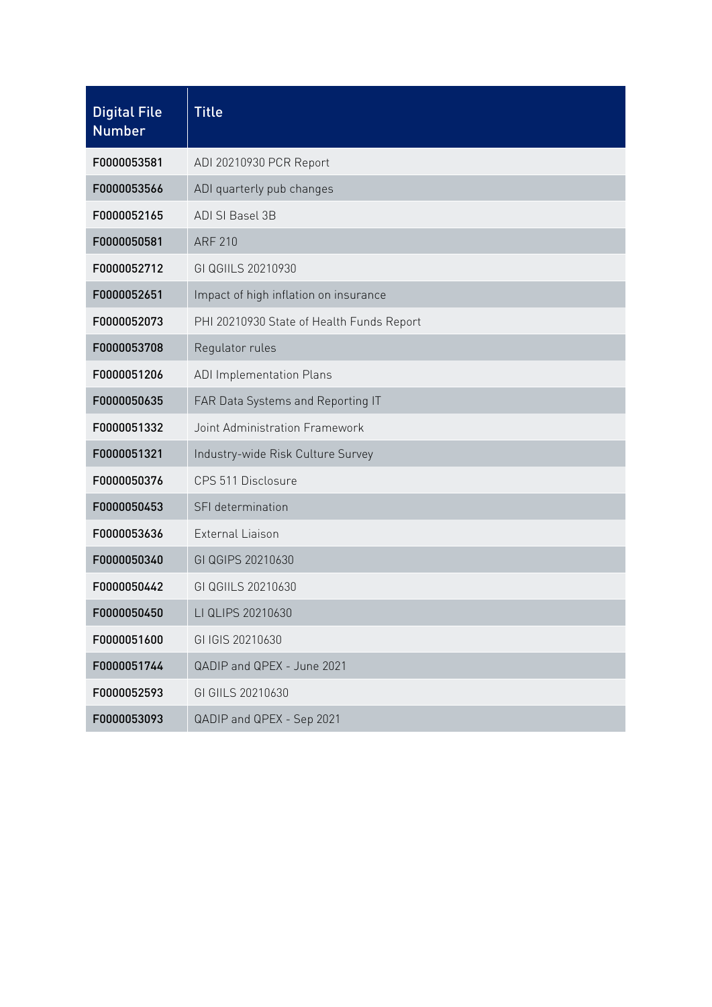| <b>Digital File</b><br><b>Number</b> | <b>Title</b>                              |
|--------------------------------------|-------------------------------------------|
| F0000053581                          | ADI 20210930 PCR Report                   |
| F0000053566                          | ADI quarterly pub changes                 |
| F0000052165                          | ADI SI Basel 3B                           |
| F0000050581                          | <b>ARF 210</b>                            |
| F0000052712                          | GI QGIILS 20210930                        |
| F0000052651                          | Impact of high inflation on insurance     |
| F0000052073                          | PHI 20210930 State of Health Funds Report |
| F0000053708                          | Regulator rules                           |
| F0000051206                          | <b>ADI Implementation Plans</b>           |
| F0000050635                          | FAR Data Systems and Reporting IT         |
| F0000051332                          | Joint Administration Framework            |
| F0000051321                          | Industry-wide Risk Culture Survey         |
| F0000050376                          | CPS 511 Disclosure                        |
| F0000050453                          | SFI determination                         |
| F0000053636                          | <b>External Liaison</b>                   |
| F0000050340                          | GI QGIPS 20210630                         |
| F0000050442                          | GI QGIILS 20210630                        |
| F0000050450                          | LI QLIPS 20210630                         |
| F0000051600                          | GI IGIS 20210630                          |
| F0000051744                          | QADIP and QPEX - June 2021                |
| F0000052593                          | GI GIILS 20210630                         |
| F0000053093                          | QADIP and QPEX - Sep 2021                 |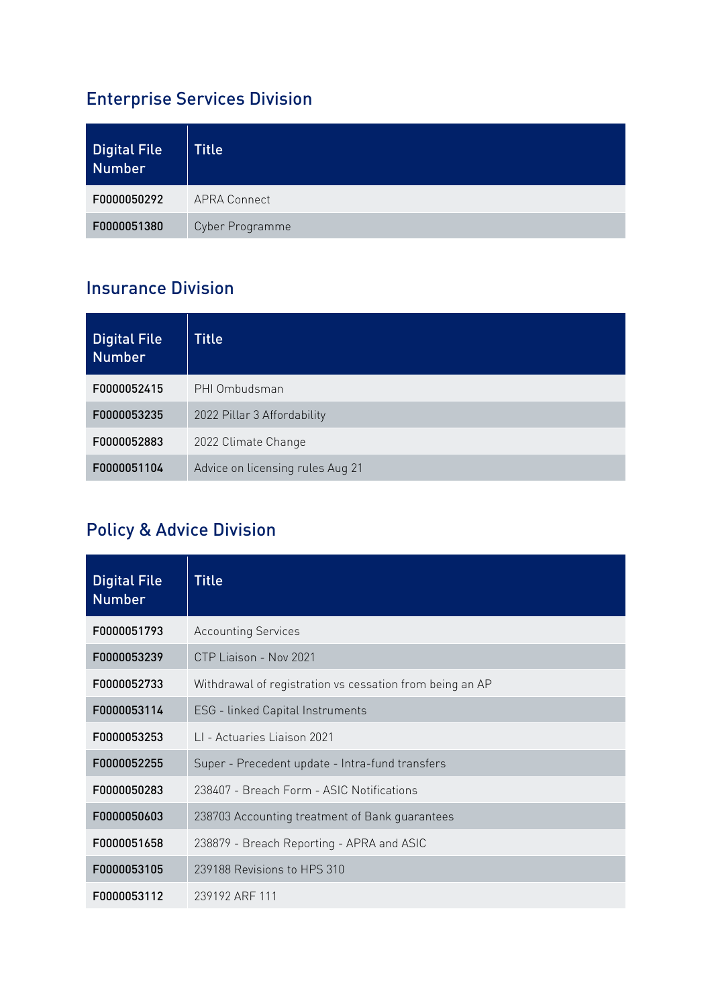## Enterprise Services Division

| <b>Digital File</b><br>Number | <b>Title</b>        |
|-------------------------------|---------------------|
| F0000050292                   | <b>APRA Connect</b> |
| F0000051380                   | Cyber Programme     |

#### Insurance Division

| <b>Digital File</b><br><b>Number</b> | <b>Title</b>                     |
|--------------------------------------|----------------------------------|
| F0000052415                          | PHI Ombudsman                    |
| F0000053235                          | 2022 Pillar 3 Affordability      |
| F0000052883                          | 2022 Climate Change              |
| F0000051104                          | Advice on licensing rules Aug 21 |

## Policy & Advice Division

| <b>Digital File</b><br><b>Number</b> | <b>Title</b>                                             |
|--------------------------------------|----------------------------------------------------------|
| F0000051793                          | <b>Accounting Services</b>                               |
| F0000053239                          | CTP Liaison - Nov 2021                                   |
| F0000052733                          | Withdrawal of registration vs cessation from being an AP |
| F0000053114                          | ESG - linked Capital Instruments                         |
| F0000053253                          | 11 - Actuaries Liaison 2021                              |
| F0000052255                          | Super - Precedent update - Intra-fund transfers          |
| F0000050283                          | 238407 - Breach Form - ASIC Notifications                |
| F0000050603                          | 238703 Accounting treatment of Bank guarantees           |
| F0000051658                          | 238879 - Breach Reporting - APRA and ASIC                |
| F0000053105                          | 239188 Revisions to HPS 310                              |
| F0000053112                          | 239192 ARF 111                                           |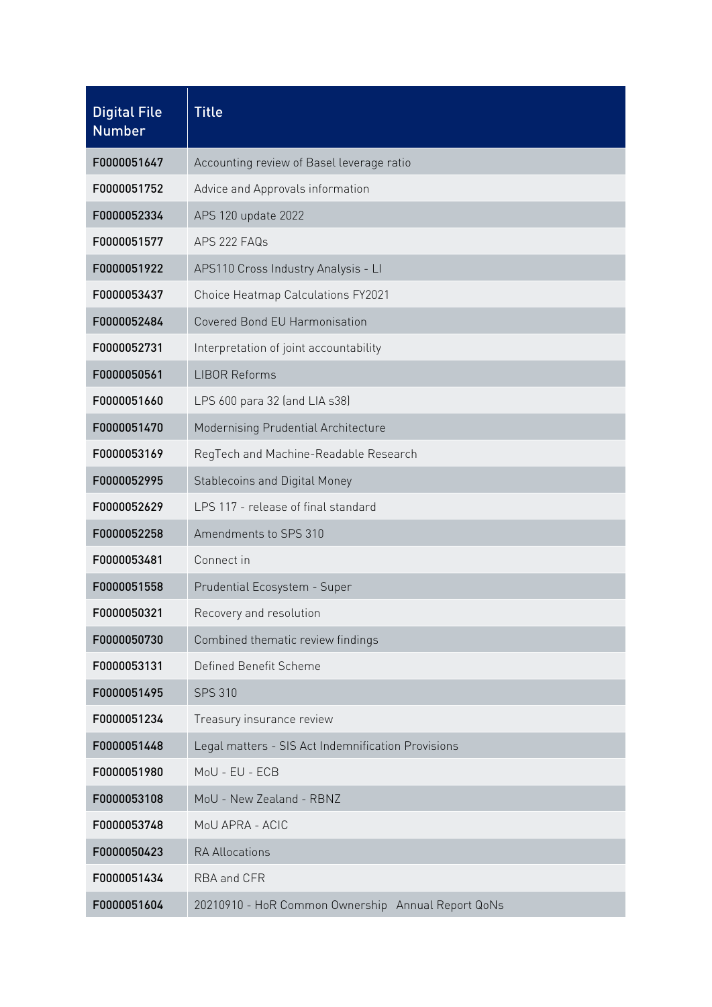| <b>Digital File</b><br><b>Number</b> | <b>Title</b>                                       |
|--------------------------------------|----------------------------------------------------|
| F0000051647                          | Accounting review of Basel leverage ratio          |
| F0000051752                          | Advice and Approvals information                   |
| F0000052334                          | APS 120 update 2022                                |
| F0000051577                          | APS 222 FAQs                                       |
| F0000051922                          | APS110 Cross Industry Analysis - LI                |
| F0000053437                          | Choice Heatmap Calculations FY2021                 |
| F0000052484                          | Covered Bond EU Harmonisation                      |
| F0000052731                          | Interpretation of joint accountability             |
| F0000050561                          | <b>LIBOR Reforms</b>                               |
| F0000051660                          | LPS 600 para 32 (and LIA s38)                      |
| F0000051470                          | Modernising Prudential Architecture                |
| F0000053169                          | RegTech and Machine-Readable Research              |
| F0000052995                          | <b>Stablecoins and Digital Money</b>               |
| F0000052629                          | LPS 117 - release of final standard                |
| F0000052258                          | Amendments to SPS 310                              |
| F0000053481                          | Connect in                                         |
| F0000051558                          | Prudential Ecosystem - Super                       |
| F0000050321                          | Recovery and resolution                            |
| F0000050730                          | Combined thematic review findings                  |
| F0000053131                          | Defined Benefit Scheme                             |
| F0000051495                          | <b>SPS 310</b>                                     |
| F0000051234                          | Treasury insurance review                          |
| F0000051448                          | Legal matters - SIS Act Indemnification Provisions |
| F0000051980                          | MoU - EU - ECB                                     |
| F0000053108                          | MoU - New Zealand - RBNZ                           |
| F0000053748                          | MoU APRA - ACIC                                    |
| F0000050423                          | <b>RA Allocations</b>                              |
| F0000051434                          | RBA and CFR                                        |
| F0000051604                          | 20210910 - HoR Common Ownership Annual Report QoNs |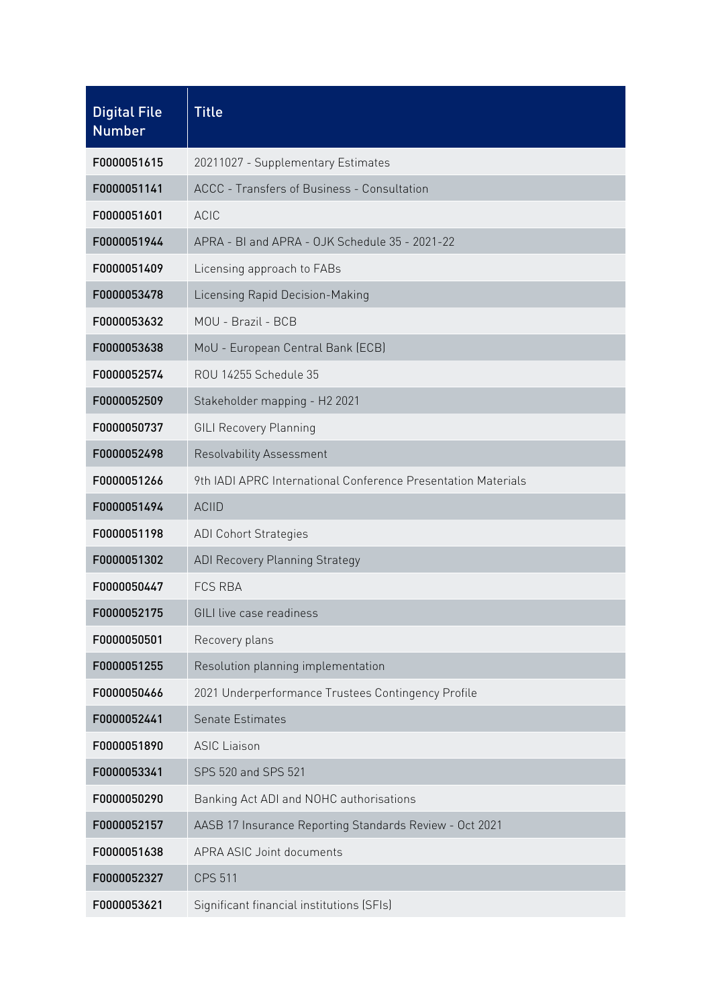| <b>Digital File</b><br><b>Number</b> | <b>Title</b>                                                  |
|--------------------------------------|---------------------------------------------------------------|
| F0000051615                          | 20211027 - Supplementary Estimates                            |
| F0000051141                          | ACCC - Transfers of Business - Consultation                   |
| F0000051601                          | <b>ACIC</b>                                                   |
| F0000051944                          | APRA - BI and APRA - OJK Schedule 35 - 2021-22                |
| F0000051409                          | Licensing approach to FABs                                    |
| F0000053478                          | Licensing Rapid Decision-Making                               |
| F0000053632                          | MOU - Brazil - BCB                                            |
| F0000053638                          | MoU - European Central Bank (ECB)                             |
| F0000052574                          | ROU 14255 Schedule 35                                         |
| F0000052509                          | Stakeholder mapping - H2 2021                                 |
| F0000050737                          | <b>GILI Recovery Planning</b>                                 |
| F0000052498                          | Resolvability Assessment                                      |
| F0000051266                          | 9th IADI APRC International Conference Presentation Materials |
| F0000051494                          | <b>ACIID</b>                                                  |
| F0000051198                          | <b>ADI Cohort Strategies</b>                                  |
| F0000051302                          | <b>ADI Recovery Planning Strategy</b>                         |
| F0000050447                          | <b>FCS RBA</b>                                                |
| F0000052175                          | GILI live case readiness                                      |
| F0000050501                          | Recovery plans                                                |
| F0000051255                          | Resolution planning implementation                            |
| F0000050466                          | 2021 Underperformance Trustees Contingency Profile            |
| F0000052441                          | Senate Estimates                                              |
| F0000051890                          | <b>ASIC Liaison</b>                                           |
| F0000053341                          | SPS 520 and SPS 521                                           |
| F0000050290                          | Banking Act ADI and NOHC authorisations                       |
| F0000052157                          | AASB 17 Insurance Reporting Standards Review - Oct 2021       |
| F0000051638                          | APRA ASIC Joint documents                                     |
| F0000052327                          | <b>CPS 511</b>                                                |
| F0000053621                          | Significant financial institutions (SFIs)                     |